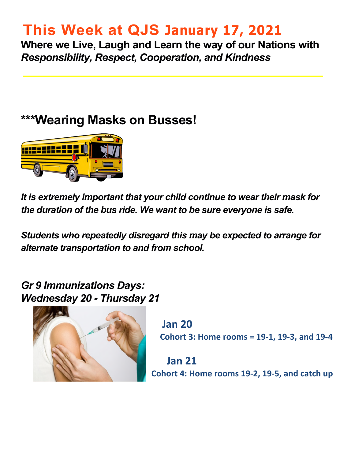## **This Week at QJS January 17, 2021**

**Where we Live, Laugh and Learn the way of our Nations with**  *Responsibility, Respect, Cooperation, and Kindness* 

### **\*\*\*Wearing Masks on Busses!**



*It is extremely important that your child continue to wear their mask for the duration of the bus ride. We want to be sure everyone is safe.* 

*Students who repeatedly disregard this may be expected to arrange for alternate transportation to and from school.*

#### *Gr 9 Immunizations Days: Wednesday 20 - Thursday 21*



**Jan 20 Cohort 3: Home rooms = 19-1, 19-3, and 19-4** 

**Jan 21 Cohort 4: Home rooms 19-2, 19-5, and catch up**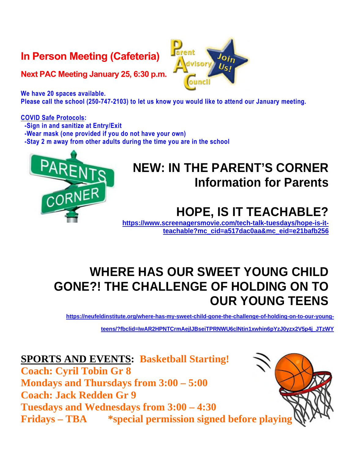### **In Person Meeting (Cafeteria)**

**Next PAC Meeting January 25, 6:30 p.m.** 

**We have 20 spaces available. Please call the school (250-747-2103) to let us know you would like to attend our January meeting.** 

#### **COVID Safe Protocols:**

**-Sign in and sanitize at Entry/Exit** 

**-Wear mask (one provided if you do not have your own)** 

**-Stay 2 m away from other adults during the time you are in the school** 



### **NEW: IN THE PARENT'S CORNER Information for Parents**

## **HOPE, IS IT TEACHABLE?**

**[https://www.screenagersmovie.com/tech-talk-tuesdays/hope-is-it](https://www.screenagersmovie.com/tech-talk-tuesdays/hope-is-it-teachable?mc_cid=a517dac0aa&mc_eid=e21bafb256)[teachable?mc\\_cid=a517dac0aa&mc\\_eid=e21bafb256](https://www.screenagersmovie.com/tech-talk-tuesdays/hope-is-it-teachable?mc_cid=a517dac0aa&mc_eid=e21bafb256)** 

### **WHERE HAS OUR SWEET YOUNG CHILD GONE?! THE CHALLENGE OF HOLDING ON TO OUR YOUNG TEENS**

**[https://neufeldinstitute.org/where-has-my-sweet-child-gone-the-challenge-of-holding-on-to-our-young-](https://neufeldinstitute.org/where-has-my-sweet-child-gone-the-challenge-of-holding-on-to-our-young-teens/?fbclid=IwAR2HPNTCrmAejlJBseiTPRNWU6clNtin1xwhin6pYzJ0yzx2V5p4j_JTzWY)**

**[teens/?fbclid=IwAR2HPNTCrmAejlJBseiTPRNWU6clNtin1xwhin6pYzJ0yzx2V5p4j\\_JTzWY](https://neufeldinstitute.org/where-has-my-sweet-child-gone-the-challenge-of-holding-on-to-our-young-teens/?fbclid=IwAR2HPNTCrmAejlJBseiTPRNWU6clNtin1xwhin6pYzJ0yzx2V5p4j_JTzWY)** 

#### **SPORTS AND EVENTS: Basketball Starting!**

**Coach: Cyril Tobin Gr 8 Mondays and Thursdays from 3:00 – 5:00 Coach: Jack Redden Gr 9 Tuesdays and Wednesdays from 3:00 – 4:30 Fridays – TBA \*special permission signed before playing** 

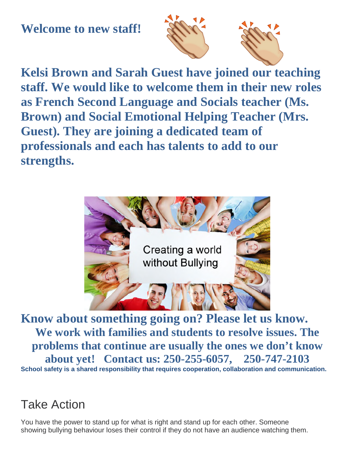### **Welcome to new staff!**



**Kelsi Brown and Sarah Guest have joined our teaching staff. We would like to welcome them in their new roles as French Second Language and Socials teacher (Ms. Brown) and Social Emotional Helping Teacher (Mrs. Guest). They are joining a dedicated team of professionals and each has talents to add to our strengths.** 



**Know about something going on? Please let us know. We work with families and students to resolve issues. The problems that continue are usually the ones we don't know about yet! Contact us: 250-255-6057, 250-747-2103 School safety is a shared responsibility that requires cooperation, collaboration and communication.** 

### Take Action

You have the power to stand up for what is right and stand up for each other. Someone showing bullying behaviour loses their control if they do not have an audience watching them.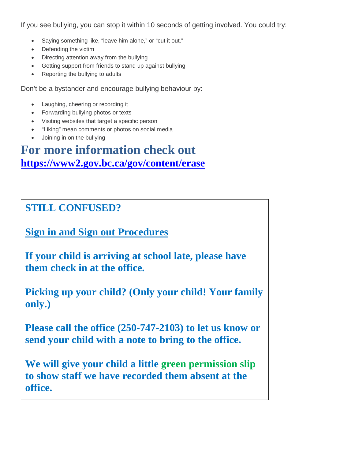If you see bullying, you can stop it within 10 seconds of getting involved. You could try:

- Saying something like, "leave him alone," or "cut it out."
- Defending the victim
- Directing attention away from the bullying
- Getting support from friends to stand up against bullying
- Reporting the bullying to adults

Don't be a bystander and encourage bullying behaviour by:

- Laughing, cheering or recording it
- Forwarding bullying photos or texts
- Visiting websites that target a specific person
- "Liking" mean comments or photos on social media
- Joining in on the bullying

### **For more information check out <https://www2.gov.bc.ca/gov/content/erase>**

#### **STILL CONFUSED?**

**Sign in and Sign out Procedures** 

**If your child is arriving at school late, please have them check in at the office.** 

**Picking up your child? (Only your child! Your family only.)** 

**Please call the office (250-747-2103) to let us know or send your child with a note to bring to the office.** 

**We will give your child a little green permission slip to show staff we have recorded them absent at the office.**